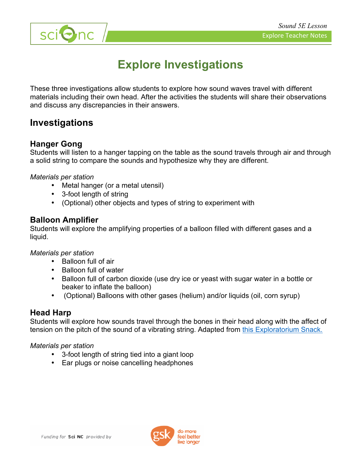

# **Explore Investigations**

These three investigations allow students to explore how sound waves travel with different materials including their own head. After the activities the students will share their observations and discuss any discrepancies in their answers.

### **Investigations**

#### **Hanger Gong**

Students will listen to a hanger tapping on the table as the sound travels through air and through a solid string to compare the sounds and hypothesize why they are different.

*Materials per station*

- Metal hanger (or a metal utensil)
- 3-foot length of string
- (Optional) other objects and types of string to experiment with

#### **Balloon Amplifier**

Students will explore the amplifying properties of a balloon filled with different gases and a liquid.

*Materials per station*

- Balloon full of air
- Balloon full of water
- Balloon full of carbon dioxide (use dry ice or yeast with sugar water in a bottle or beaker to inflate the balloon)
- (Optional) Balloons with other gases (helium) and/or liquids (oil, corn syrup)

#### **Head Harp**

Students will explore how sounds travel through the bones in their head along with the affect of tension on the pitch of the sound of a vibrating string. Adapted from this Exploratorium Snack.

#### *Materials per station*

- 3-foot length of string tied into a giant loop
- Ear plugs or noise cancelling headphones